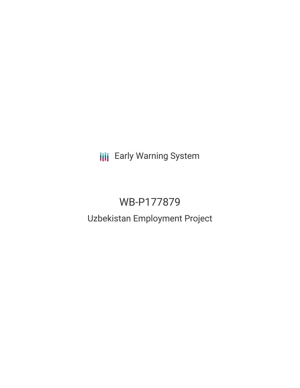**III** Early Warning System

# WB-P177879

## Uzbekistan Employment Project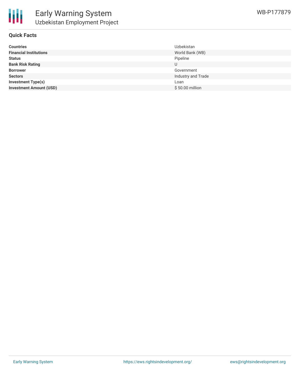

### **Quick Facts**

| <b>Countries</b>               | <b>Uzbekistan</b>  |
|--------------------------------|--------------------|
| <b>Financial Institutions</b>  | World Bank (WB)    |
| <b>Status</b>                  | Pipeline           |
| <b>Bank Risk Rating</b>        | U                  |
| <b>Borrower</b>                | Government         |
| <b>Sectors</b>                 | Industry and Trade |
| <b>Investment Type(s)</b>      | Loan               |
| <b>Investment Amount (USD)</b> | $$50.00$ million   |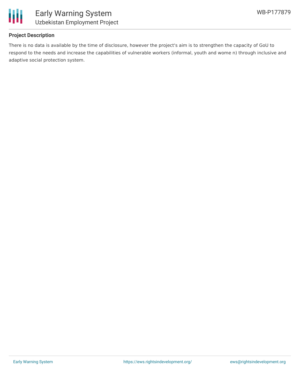

### **Project Description**

There is no data is available by the time of disclosure, however the project's aim is to strengthen the capacity of GoU to respond to the needs and increase the capabilities of vulnerable workers (informal, youth and wome n) through inclusive and adaptive social protection system.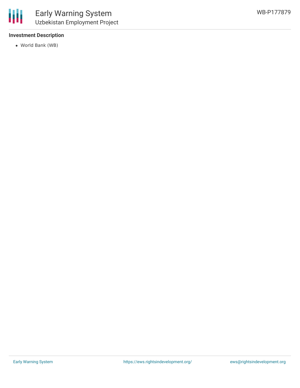### **Investment Description**

World Bank (WB)